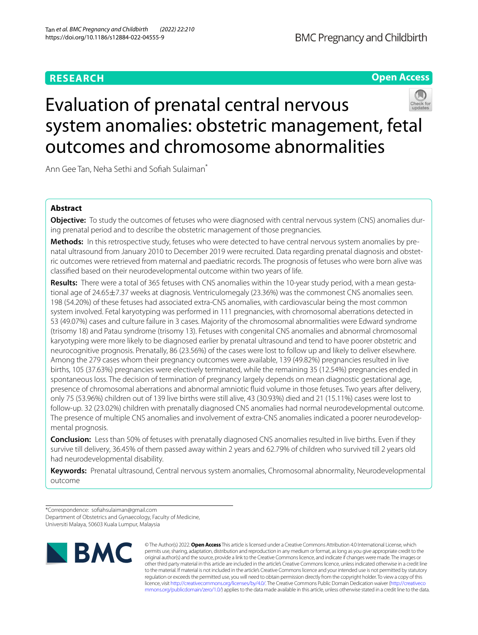# **RESEARCH**

# **Open Access**



# Evaluation of prenatal central nervous system anomalies: obstetric management, fetal outcomes and chromosome abnormalities

Ann Gee Tan, Neha Sethi and Sofiah Sulaiman<sup>\*</sup>

# **Abstract**

**Objective:** To study the outcomes of fetuses who were diagnosed with central nervous system (CNS) anomalies during prenatal period and to describe the obstetric management of those pregnancies.

**Methods:** In this retrospective study, fetuses who were detected to have central nervous system anomalies by prenatal ultrasound from January 2010 to December 2019 were recruited. Data regarding prenatal diagnosis and obstetric outcomes were retrieved from maternal and paediatric records. The prognosis of fetuses who were born alive was classifed based on their neurodevelopmental outcome within two years of life.

**Results:** There were a total of 365 fetuses with CNS anomalies within the 10-year study period, with a mean gestational age of 24.65±7.37 weeks at diagnosis. Ventriculomegaly (23.36%) was the commonest CNS anomalies seen. 198 (54.20%) of these fetuses had associated extra-CNS anomalies, with cardiovascular being the most common system involved. Fetal karyotyping was performed in 111 pregnancies, with chromosomal aberrations detected in 53 (49.07%) cases and culture failure in 3 cases. Majority of the chromosomal abnormalities were Edward syndrome (trisomy 18) and Patau syndrome (trisomy 13). Fetuses with congenital CNS anomalies and abnormal chromosomal karyotyping were more likely to be diagnosed earlier by prenatal ultrasound and tend to have poorer obstetric and neurocognitive prognosis. Prenatally, 86 (23.56%) of the cases were lost to follow up and likely to deliver elsewhere. Among the 279 cases whom their pregnancy outcomes were available, 139 (49.82%) pregnancies resulted in live births, 105 (37.63%) pregnancies were electively terminated, while the remaining 35 (12.54%) pregnancies ended in spontaneous loss. The decision of termination of pregnancy largely depends on mean diagnostic gestational age, presence of chromosomal aberrations and abnormal amniotic fuid volume in those fetuses. Two years after delivery, only 75 (53.96%) children out of 139 live births were still alive, 43 (30.93%) died and 21 (15.11%) cases were lost to follow-up. 32 (23.02%) children with prenatally diagnosed CNS anomalies had normal neurodevelopmental outcome. The presence of multiple CNS anomalies and involvement of extra-CNS anomalies indicated a poorer neurodevelopmental prognosis.

**Conclusion:** Less than 50% of fetuses with prenatally diagnosed CNS anomalies resulted in live births. Even if they survive till delivery, 36.45% of them passed away within 2 years and 62.79% of children who survived till 2 years old had neurodevelopmental disability.

**Keywords:** Prenatal ultrasound, Central nervous system anomalies, Chromosomal abnormality, Neurodevelopmental outcome

\*Correspondence: sofahsulaiman@gmail.com Department of Obstetrics and Gynaecology, Faculty of Medicine, Universiti Malaya, 50603 Kuala Lumpur, Malaysia



© The Author(s) 2022. **Open Access** This article is licensed under a Creative Commons Attribution 4.0 International License, which permits use, sharing, adaptation, distribution and reproduction in any medium or format, as long as you give appropriate credit to the original author(s) and the source, provide a link to the Creative Commons licence, and indicate if changes were made. The images or other third party material in this article are included in the article's Creative Commons licence, unless indicated otherwise in a credit line to the material. If material is not included in the article's Creative Commons licence and your intended use is not permitted by statutory regulation or exceeds the permitted use, you will need to obtain permission directly from the copyright holder. To view a copy of this licence, visit [http://creativecommons.org/licenses/by/4.0/.](http://creativecommons.org/licenses/by/4.0/) The Creative Commons Public Domain Dedication waiver ([http://creativeco](http://creativecommons.org/publicdomain/zero/1.0/) [mmons.org/publicdomain/zero/1.0/](http://creativecommons.org/publicdomain/zero/1.0/)) applies to the data made available in this article, unless otherwise stated in a credit line to the data.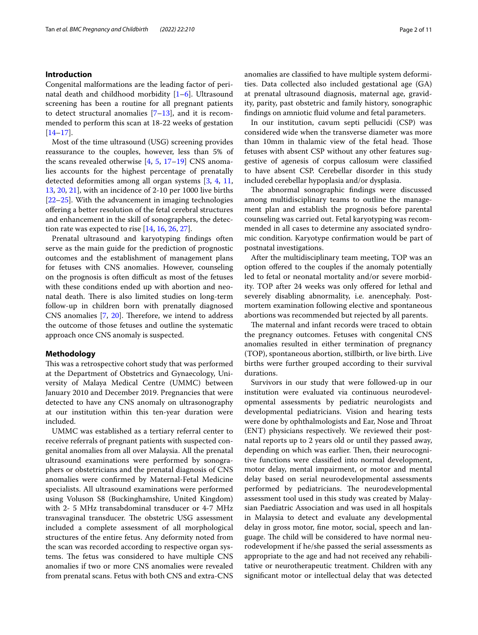# **Introduction**

Congenital malformations are the leading factor of perinatal death and childhood morbidity [\[1](#page-9-0)–[6\]](#page-9-1). Ultrasound screening has been a routine for all pregnant patients to detect structural anomalies  $[7-13]$  $[7-13]$ , and it is recommended to perform this scan at 18-22 weeks of gestation  $[14–17]$  $[14–17]$  $[14–17]$  $[14–17]$ .

Most of the time ultrasound (USG) screening provides reassurance to the couples, however, less than 5% of the scans revealed otherwise  $[4, 5, 17-19]$  $[4, 5, 17-19]$  $[4, 5, 17-19]$  $[4, 5, 17-19]$  $[4, 5, 17-19]$  CNS anomalies accounts for the highest percentage of prenatally detected deformities among all organ systems [[3,](#page-9-9) [4,](#page-9-6) [11](#page-9-10), [13,](#page-9-3) [20](#page-9-11), [21\]](#page-9-12), with an incidence of 2-10 per 1000 live births [[22–](#page-9-13)[25](#page-9-14)]. With the advancement in imaging technologies ofering a better resolution of the fetal cerebral structures and enhancement in the skill of sonographers, the detection rate was expected to rise  $[14, 16, 26, 27]$  $[14, 16, 26, 27]$  $[14, 16, 26, 27]$  $[14, 16, 26, 27]$  $[14, 16, 26, 27]$  $[14, 16, 26, 27]$  $[14, 16, 26, 27]$ .

Prenatal ultrasound and karyotyping fndings often serve as the main guide for the prediction of prognostic outcomes and the establishment of management plans for fetuses with CNS anomalies. However, counseling on the prognosis is often difficult as most of the fetuses with these conditions ended up with abortion and neonatal death. There is also limited studies on long-term follow-up in children born with prenatally diagnosed CNS anomalies  $[7, 20]$  $[7, 20]$  $[7, 20]$  $[7, 20]$  $[7, 20]$ . Therefore, we intend to address the outcome of those fetuses and outline the systematic approach once CNS anomaly is suspected.

#### **Methodology**

This was a retrospective cohort study that was performed at the Department of Obstetrics and Gynaecology, University of Malaya Medical Centre (UMMC) between January 2010 and December 2019. Pregnancies that were detected to have any CNS anomaly on ultrasonography at our institution within this ten-year duration were included.

UMMC was established as a tertiary referral center to receive referrals of pregnant patients with suspected congenital anomalies from all over Malaysia. All the prenatal ultrasound examinations were performed by sonographers or obstetricians and the prenatal diagnosis of CNS anomalies were confrmed by Maternal-Fetal Medicine specialists. All ultrasound examinations were performed using Voluson S8 (Buckinghamshire, United Kingdom) with 2- 5 MHz transabdominal transducer or 4-7 MHz transvaginal transducer. The obstetric USG assessment included a complete assessment of all morphological structures of the entire fetus. Any deformity noted from the scan was recorded according to respective organ systems. The fetus was considered to have multiple CNS anomalies if two or more CNS anomalies were revealed from prenatal scans. Fetus with both CNS and extra-CNS anomalies are classifed to have multiple system deformities. Data collected also included gestational age (GA) at prenatal ultrasound diagnosis, maternal age, gravidity, parity, past obstetric and family history, sonographic fndings on amniotic fuid volume and fetal parameters.

In our institution, cavum septi pellucidi (CSP) was considered wide when the transverse diameter was more than 10mm in thalamic view of the fetal head. Those fetuses with absent CSP without any other features suggestive of agenesis of corpus callosum were classifed to have absent CSP. Cerebellar disorder in this study included cerebellar hypoplasia and/or dysplasia.

The abnormal sonographic findings were discussed among multidisciplinary teams to outline the management plan and establish the prognosis before parental counseling was carried out. Fetal karyotyping was recommended in all cases to determine any associated syndromic condition. Karyotype confrmation would be part of postnatal investigations.

After the multidisciplinary team meeting, TOP was an option offered to the couples if the anomaly potentially led to fetal or neonatal mortality and/or severe morbidity. TOP after 24 weeks was only ofered for lethal and severely disabling abnormality, i.e. anencephaly. Postmortem examination following elective and spontaneous abortions was recommended but rejected by all parents.

The maternal and infant records were traced to obtain the pregnancy outcomes. Fetuses with congenital CNS anomalies resulted in either termination of pregnancy (TOP), spontaneous abortion, stillbirth, or live birth. Live births were further grouped according to their survival durations.

Survivors in our study that were followed-up in our institution were evaluated via continuous neurodevelopmental assessments by pediatric neurologists and developmental pediatricians. Vision and hearing tests were done by ophthalmologists and Ear, Nose and Throat (ENT) physicians respectively. We reviewed their postnatal reports up to 2 years old or until they passed away, depending on which was earlier. Then, their neurocognitive functions were classifed into normal development, motor delay, mental impairment, or motor and mental delay based on serial neurodevelopmental assessments performed by pediatricians. The neurodevelopmental assessment tool used in this study was created by Malaysian Paediatric Association and was used in all hospitals in Malaysia to detect and evaluate any developmental delay in gross motor, fne motor, social, speech and language. The child will be considered to have normal neurodevelopment if he/she passed the serial assessments as appropriate to the age and had not received any rehabilitative or neurotherapeutic treatment. Children with any signifcant motor or intellectual delay that was detected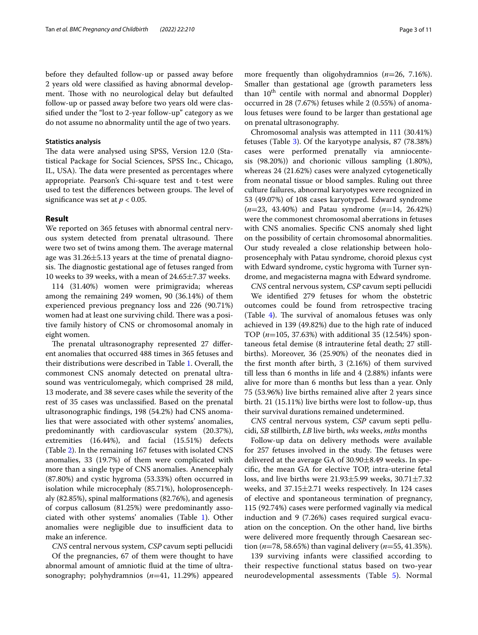before they defaulted follow-up or passed away before 2 years old were classifed as having abnormal development. Those with no neurological delay but defaulted follow-up or passed away before two years old were classifed under the "lost to 2-year follow-up" category as we do not assume no abnormality until the age of two years.

## **Statistics analysis**

The data were analysed using SPSS, Version 12.0 (Statistical Package for Social Sciences, SPSS Inc., Chicago, IL, USA). The data were presented as percentages where appropriate. Pearson's Chi-square test and t-test were used to test the differences between groups. The level of signifcance was set at *p* < 0.05.

#### **Result**

We reported on 365 fetuses with abnormal central nervous system detected from prenatal ultrasound. There were two set of twins among them. The average maternal age was  $31.26 \pm 5.13$  years at the time of prenatal diagnosis. The diagnostic gestational age of fetuses ranged from 10 weeks to 39 weeks, with a mean of 24.65±7.37 weeks.

114 (31.40%) women were primigravida; whereas among the remaining 249 women, 90 (36.14%) of them experienced previous pregnancy loss and 226 (90.71%) women had at least one surviving child. There was a positive family history of CNS or chromosomal anomaly in eight women.

The prenatal ultrasonography represented 27 different anomalies that occurred 488 times in 365 fetuses and their distributions were described in Table [1.](#page-3-0) Overall, the commonest CNS anomaly detected on prenatal ultrasound was ventriculomegaly, which comprised 28 mild, 13 moderate, and 38 severe cases while the severity of the rest of 35 cases was unclassifed. Based on the prenatal ultrasonographic fndings, 198 (54.2%) had CNS anomalies that were associated with other systems' anomalies, predominantly with cardiovascular system (20.37%), extremities (16.44%), and facial (15.51%) defects (Table [2\)](#page-4-0). In the remaining 167 fetuses with isolated CNS anomalies, 33 (19.7%) of them were complicated with more than a single type of CNS anomalies. Anencephaly (87.80%) and cystic hygroma (53.33%) often occurred in isolation while microcephaly (85.71%), holoprosencephaly (82.85%), spinal malformations (82.76%), and agenesis of corpus callosum (81.25%) were predominantly associated with other systems' anomalies (Table [1\)](#page-3-0). Other anomalies were negligible due to insufficient data to make an inference.

*CNS* central nervous system, *CSP* cavum septi pellucidi

Of the pregnancies, 67 of them were thought to have abnormal amount of amniotic fuid at the time of ultrasonography; polyhydramnios (*n*=41, 11.29%) appeared

more frequently than oligohydramnios (*n*=26, 7.16%). Smaller than gestational age (growth parameters less than 10<sup>th</sup> centile with normal and abnormal Doppler) occurred in 28 (7.67%) fetuses while 2 (0.55%) of anomalous fetuses were found to be larger than gestational age on prenatal ultrasonography.

Chromosomal analysis was attempted in 111 (30.41%) fetuses (Table [3\)](#page-5-0). Of the karyotype analysis, 87 (78.38%) cases were performed prenatally via amniocentesis (98.20%)) and chorionic villous sampling (1.80%), whereas 24 (21.62%) cases were analyzed cytogenetically from neonatal tissue or blood samples. Ruling out three culture failures, abnormal karyotypes were recognized in 53 (49.07%) of 108 cases karyotyped. Edward syndrome (*n*=23, 43.40%) and Patau syndrome (*n*=14, 26.42%) were the commonest chromosomal aberrations in fetuses with CNS anomalies. Specific CNS anomaly shed light on the possibility of certain chromosomal abnormalities. Our study revealed a close relationship between holoprosencephaly with Patau syndrome, choroid plexus cyst with Edward syndrome, cystic hygroma with Turner syndrome, and megacisterna magna with Edward syndrome.

*CNS* central nervous system, *CSP* cavum septi pellucidi We identifed 279 fetuses for whom the obstetric outcomes could be found from retrospective tracing (Table  $4$ ). The survival of anomalous fetuses was only achieved in 139 (49.82%) due to the high rate of induced TOP (*n*=105, 37.63%) with additional 35 (12.54%) spontaneous fetal demise (8 intrauterine fetal death; 27 stillbirths). Moreover, 36 (25.90%) of the neonates died in the frst month after birth, 3 (2.16%) of them survived till less than 6 months in life and 4 (2.88%) infants were alive for more than 6 months but less than a year. Only 75 (53.96%) live births remained alive after 2 years since birth. 21 (15.11%) live births were lost to follow-up, thus their survival durations remained undetermined.

*CNS* central nervous system, *CSP* cavum septi pellucidi, *SB* stillbirth, *LB* live birth, *wks* weeks, *mths* months

Follow-up data on delivery methods were available for 257 fetuses involved in the study. The fetuses were delivered at the average GA of 30.90±8.49 weeks. In specifc, the mean GA for elective TOP, intra-uterine fetal loss, and live births were 21.93±5.99 weeks, 30.71±7.32 weeks, and 37.15±2.71 weeks respectively. In 124 cases of elective and spontaneous termination of pregnancy, 115 (92.74%) cases were performed vaginally via medical induction and 9 (7.26%) cases required surgical evacuation on the conception. On the other hand, live births were delivered more frequently through Caesarean section (*n*=78, 58.65%) than vaginal delivery (*n*=55, 41.35%).

139 surviving infants were classifed according to their respective functional status based on two-year neurodevelopmental assessments (Table [5\)](#page-7-0). Normal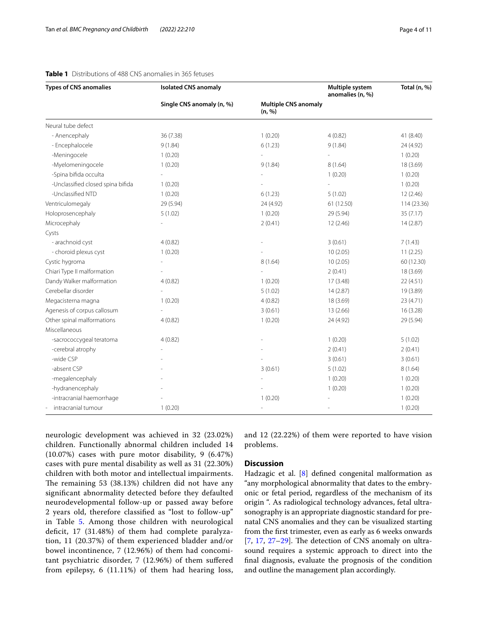| <b>Types of CNS anomalies</b>     | <b>Isolated CNS anomaly</b> |                                       | Multiple system<br>anomalies (n, %) | Total (n, %) |
|-----------------------------------|-----------------------------|---------------------------------------|-------------------------------------|--------------|
|                                   | Single CNS anomaly (n, %)   | <b>Multiple CNS anomaly</b><br>(n, %) |                                     |              |
| Neural tube defect                |                             |                                       |                                     |              |
| - Anencephaly                     | 36 (7.38)                   | 1(0.20)                               | 4(0.82)                             | 41 (8.40)    |
| - Encephalocele                   | 9(1.84)                     | 6(1.23)                               | 9(1.84)                             | 24 (4.92)    |
| -Meningocele                      | 1(0.20)                     |                                       | $\overline{\phantom{a}}$            | 1(0.20)      |
| -Myelomeningocele                 | 1(0.20)                     | 9(1.84)                               | 8(1.64)                             | 18 (3.69)    |
| -Spina bifida occulta             |                             |                                       | 1(0.20)                             | 1(0.20)      |
| -Unclassified closed spina bifida | 1(0.20)                     |                                       |                                     | 1(0.20)      |
| -Unclassified NTD                 | 1(0.20)                     | 6(1.23)                               | 5(1.02)                             | 12(2.46)     |
| Ventriculomegaly                  | 29 (5.94)                   | 24 (4.92)                             | 61 (12.50)                          | 114 (23.36)  |
| Holoprosencephaly                 | 5(1.02)                     | 1(0.20)                               | 29 (5.94)                           | 35(7.17)     |
| Microcephaly                      |                             | 2(0.41)                               | 12(2.46)                            | 14(2.87)     |
| Cysts                             |                             |                                       |                                     |              |
| - arachnoid cyst                  | 4(0.82)                     |                                       | 3(0.61)                             | 7(1.43)      |
| - choroid plexus cyst             | 1(0.20)                     |                                       | 10(2.05)                            | 11(2.25)     |
| Cystic hygroma                    |                             | 8(1.64)                               | 10(2.05)                            | 60 (12.30)   |
| Chiari Type II malformation       |                             |                                       | 2(0.41)                             | 18 (3.69)    |
| Dandy Walker malformation         | 4(0.82)                     | 1(0.20)                               | 17 (3.48)                           | 22 (4.51)    |
| Cerebellar disorder               |                             | 5(1.02)                               | 14(2.87)                            | 19 (3.89)    |
| Megacisterna magna                | 1(0.20)                     | 4(0.82)                               | 18 (3.69)                           | 23 (4.71)    |
| Agenesis of corpus callosum       |                             | 3(0.61)                               | 13 (2.66)                           | 16 (3.28)    |
| Other spinal malformations        | 4(0.82)                     | 1(0.20)                               | 24 (4.92)                           | 29 (5.94)    |
| Miscellaneous                     |                             |                                       |                                     |              |
| -sacrococcygeal teratoma          | 4(0.82)                     |                                       | 1(0.20)                             | 5(1.02)      |
| -cerebral atrophy                 |                             |                                       | 2(0.41)                             | 2(0.41)      |
| -wide CSP                         |                             |                                       | 3(0.61)                             | 3(0.61)      |
| -absent CSP                       |                             | 3(0.61)                               | 5(1.02)                             | 8(1.64)      |
| -megalencephaly                   |                             |                                       | 1(0.20)                             | 1(0.20)      |
| -hydranencephaly                  |                             |                                       | 1(0.20)                             | 1(0.20)      |
| -intracranial haemorrhage         |                             | 1(0.20)                               |                                     | 1(0.20)      |
| intracranial tumour               | 1(0.20)                     |                                       |                                     | 1(0.20)      |

# <span id="page-3-0"></span>**Table 1** Distributions of 488 CNS anomalies in 365 fetuses

neurologic development was achieved in 32 (23.02%) children. Functionally abnormal children included 14 (10.07%) cases with pure motor disability, 9 (6.47%) cases with pure mental disability as well as 31 (22.30%) children with both motor and intellectual impairments. The remaining 53 (38.13%) children did not have any signifcant abnormality detected before they defaulted neurodevelopmental follow-up or passed away before 2 years old, therefore classifed as "lost to follow-up" in Table [5](#page-7-0). Among those children with neurological deficit, 17 (31.48%) of them had complete paralyzation, 11 (20.37%) of them experienced bladder and/or bowel incontinence, 7 (12.96%) of them had concomitant psychiatric disorder, 7 (12.96%) of them sufered from epilepsy, 6 (11.11%) of them had hearing loss, and 12 (22.22%) of them were reported to have vision problems.

# **Discussion**

Hadzagic et al. [[8\]](#page-9-18) defned congenital malformation as "any morphological abnormality that dates to the embryonic or fetal period, regardless of the mechanism of its origin ". As radiological technology advances, fetal ultrasonography is an appropriate diagnostic standard for prenatal CNS anomalies and they can be visualized starting from the frst trimester, even as early as 6 weeks onwards  $[7, 17, 27-29]$  $[7, 17, 27-29]$  $[7, 17, 27-29]$  $[7, 17, 27-29]$  $[7, 17, 27-29]$  $[7, 17, 27-29]$ . The detection of CNS anomaly on ultrasound requires a systemic approach to direct into the fnal diagnosis, evaluate the prognosis of the condition and outline the management plan accordingly.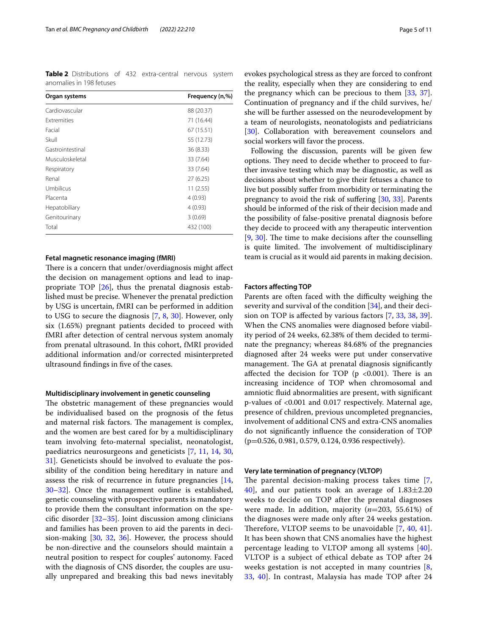<span id="page-4-0"></span>**Table 2** Distributions of 432 extra-central nervous system anomalies in 198 fetuses

| Organ systems      | Frequency (n,%) |
|--------------------|-----------------|
| Cardiovascular     | 88 (20.37)      |
| <b>Extremities</b> | 71 (16.44)      |
| Facial             | 67 (15.51)      |
| Skull              | 55 (12.73)      |
| Gastrointestinal   | 36 (8.33)       |
| Musculoskeletal    | 33 (7.64)       |
| Respiratory        | 33 (7.64)       |
| Renal              | 27(6.25)        |
| Umbilicus          | 11(2.55)        |
| Placenta           | 4(0.93)         |
| Hepatobiliary      | 4(0.93)         |
| Genitourinary      | 3(0.69)         |
| Total              | 432 (100)       |

#### **Fetal magnetic resonance imaging (fMRI)**

There is a concern that under/overdiagnosis might affect the decision on management options and lead to inappropriate TOP [\[26\]](#page-9-16), thus the prenatal diagnosis established must be precise. Whenever the prenatal prediction by USG is uncertain, fMRI can be performed in addition to USG to secure the diagnosis [\[7](#page-9-2), [8,](#page-9-18) [30\]](#page-9-20). However, only six (1.65%) pregnant patients decided to proceed with fMRI after detection of central nervous system anomaly from prenatal ultrasound. In this cohort, fMRI provided additional information and/or corrected misinterpreted ultrasound fndings in fve of the cases.

#### **Multidisciplinary involvement in genetic counseling**

The obstetric management of these pregnancies would be individualised based on the prognosis of the fetus and maternal risk factors. The management is complex, and the women are best cared for by a multidisciplinary team involving feto-maternal specialist, neonatologist, paediatrics neurosurgeons and geneticists [\[7](#page-9-2), [11](#page-9-10), [14,](#page-9-4) [30](#page-9-20), [31\]](#page-9-21). Geneticists should be involved to evaluate the possibility of the condition being hereditary in nature and assess the risk of recurrence in future pregnancies [\[14](#page-9-4), [30–](#page-9-20)[32](#page-10-0)]. Once the management outline is established, genetic counseling with prospective parents is mandatory to provide them the consultant information on the specifc disorder [[32](#page-10-0)[–35](#page-10-1)]. Joint discussion among clinicians and families has been proven to aid the parents in decision-making [\[30](#page-9-20), [32,](#page-10-0) [36\]](#page-10-2). However, the process should be non-directive and the counselors should maintain a neutral position to respect for couples' autonomy. Faced with the diagnosis of CNS disorder, the couples are usually unprepared and breaking this bad news inevitably

evokes psychological stress as they are forced to confront the reality, especially when they are considering to end the pregnancy which can be precious to them [\[33](#page-10-3), [37](#page-10-4)]. Continuation of pregnancy and if the child survives, he/ she will be further assessed on the neurodevelopment by a team of neurologists, neonatologists and pediatricians [[30\]](#page-9-20). Collaboration with bereavement counselors and social workers will favor the process.

Following the discussion, parents will be given few options. They need to decide whether to proceed to further invasive testing which may be diagnostic, as well as decisions about whether to give their fetuses a chance to live but possibly sufer from morbidity or terminating the pregnancy to avoid the risk of sufering [\[30](#page-9-20), [33](#page-10-3)]. Parents should be informed of the risk of their decision made and the possibility of false-positive prenatal diagnosis before they decide to proceed with any therapeutic intervention  $[9, 30]$  $[9, 30]$  $[9, 30]$  $[9, 30]$ . The time to make decisions after the counselling is quite limited. The involvement of multidisciplinary team is crucial as it would aid parents in making decision.

#### **Factors afecting TOP**

Parents are often faced with the difficulty weighing the severity and survival of the condition [\[34](#page-10-5)], and their decision on TOP is afected by various factors [[7,](#page-9-2) [33](#page-10-3), [38](#page-10-6), [39](#page-10-7)]. When the CNS anomalies were diagnosed before viability period of 24 weeks, 62.38% of them decided to terminate the pregnancy; whereas 84.68% of the pregnancies diagnosed after 24 weeks were put under conservative management. The GA at prenatal diagnosis significantly affected the decision for TOP ( $p \le 0.001$ ). There is an increasing incidence of TOP when chromosomal and amniotic fuid abnormalities are present, with signifcant p-values of <0.001 and 0.017 respectively. Maternal age, presence of children, previous uncompleted pregnancies, involvement of additional CNS and extra-CNS anomalies do not signifcantly infuence the consideration of TOP (p=0.526, 0.981, 0.579, 0.124, 0.936 respectively).

#### **Very late termination of pregnancy (VLTOP)**

The parental decision-making process takes time  $[7, 1]$  $[7, 1]$ [40\]](#page-10-8), and our patients took an average of  $1.83 \pm 2.20$ weeks to decide on TOP after the prenatal diagnoses were made. In addition, majority (*n*=203, 55.61%) of the diagnoses were made only after 24 weeks gestation. Therefore, VLTOP seems to be unavoidable  $[7, 40, 41]$  $[7, 40, 41]$  $[7, 40, 41]$  $[7, 40, 41]$  $[7, 40, 41]$  $[7, 40, 41]$  $[7, 40, 41]$ . It has been shown that CNS anomalies have the highest percentage leading to VLTOP among all systems [[40](#page-10-8)]. VLTOP is a subject of ethical debate as TOP after 24 weeks gestation is not accepted in many countries  $[8, 8]$  $[8, 8]$ [33,](#page-10-3) [40](#page-10-8)]. In contrast, Malaysia has made TOP after 24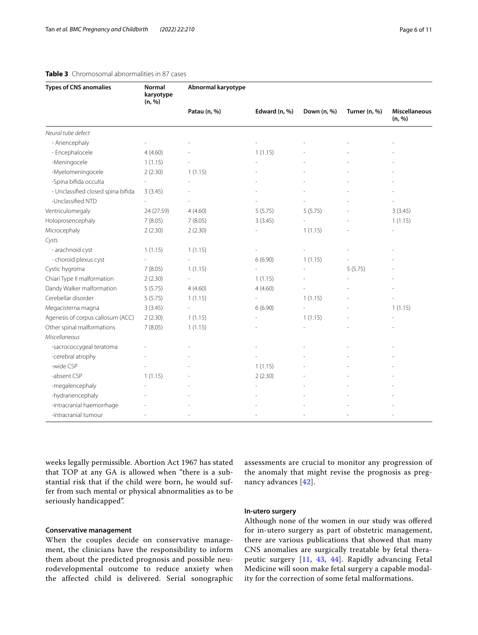<span id="page-5-0"></span>

| <b>Types of CNS anomalies</b>      | Normal<br>karyotype<br>(n, %) | Abnormal karyotype |               |             |               |                                |
|------------------------------------|-------------------------------|--------------------|---------------|-------------|---------------|--------------------------------|
|                                    |                               | Patau (n, %)       | Edward (n, %) | Down (n, %) | Turner (n, %) | <b>Miscellaneous</b><br>(n, %) |
| Neural tube defect                 |                               |                    |               |             |               |                                |
| - Anencephaly                      |                               |                    |               |             |               |                                |
| - Encephalocele                    | 4(4.60)                       |                    | 1(1.15)       |             |               |                                |
| -Meningocele                       | 1(1.15)                       |                    |               |             |               |                                |
| -Myelomeningocele                  | 2(2.30)                       | 1(1.15)            |               |             |               |                                |
| -Spina bifida occulta              |                               |                    |               |             |               |                                |
| - Unclassified closed spina bifida | 3(3.45)                       |                    |               |             |               |                                |
| -Unclassified NTD                  |                               |                    |               |             |               |                                |
| Ventriculomegaly                   | 24 (27.59)                    | 4(4.60)            | 5(5.75)       | 5(5.75)     |               | 3(3.45)                        |
| Holoprosencephaly                  | 7(8.05)                       | 7(8.05)            | 3(3.45)       |             |               | 1(1.15)                        |
| Microcephaly                       | 2(2.30)                       | 2(2.30)            |               | 1(1.15)     |               |                                |
| Cysts                              |                               |                    |               |             |               |                                |
| - arachnoid cyst                   | 1(1.15)                       | 1(1.15)            |               |             |               |                                |
| - choroid plexus cyst              |                               |                    | 6(6.90)       | 1(1.15)     |               |                                |
| Cystic hygroma                     | 7(8.05)                       | 1(1.15)            |               |             | 5(5.75)       |                                |
| Chiari Type II malformation        | 2(2.30)                       |                    | 1(1.15)       |             |               |                                |
| Dandy Walker malformation          | 5(5.75)                       | 4(4.60)            | 4(4.60)       |             |               |                                |
| Cerebellar disorder                | 5(5.75)                       | 1(1.15)            |               | 1(1.15)     |               |                                |
| Megacisterna magna                 | 3(3.45)                       |                    | 6(6.90)       |             |               | 1(1.15)                        |
| Agenesis of corpus callosum (ACC)  | 2(2.30)                       | 1(1.15)            |               | 1(1.15)     |               |                                |
| Other spinal malformations         | 7(8.05)                       | 1(1.15)            |               |             |               |                                |
| Miscellaneous                      |                               |                    |               |             |               |                                |
| -sacrococcygeal teratoma           |                               |                    |               |             |               |                                |
| -cerebral atrophy                  |                               |                    |               |             |               |                                |
| -wide CSP                          |                               |                    | 1(1.15)       |             |               |                                |
| -absent CSP                        | 1(1.15)                       |                    | 2(2.30)       |             |               |                                |
| -megalencephaly                    |                               |                    |               |             |               |                                |
| -hydranencephaly                   |                               |                    |               |             |               |                                |
| -intracranial haemorrhage          |                               |                    |               |             |               |                                |
| -intracranial tumour               |                               |                    |               |             |               |                                |

weeks legally permissible. Abortion Act 1967 has stated that TOP at any GA is allowed when "there is a substantial risk that if the child were born, he would suffer from such mental or physical abnormalities as to be seriously handicapped".

# **Conservative management**

When the couples decide on conservative management, the clinicians have the responsibility to inform them about the predicted prognosis and possible neurodevelopmental outcome to reduce anxiety when the affected child is delivered. Serial sonographic assessments are crucial to monitor any progression of the anomaly that might revise the prognosis as pregnancy advances [[42](#page-10-10)].

#### **In‑utero surgery**

Although none of the women in our study was ofered for in-utero surgery as part of obstetric management, there are various publications that showed that many CNS anomalies are surgically treatable by fetal therapeutic surgery [\[11,](#page-9-10) [43](#page-10-11), [44](#page-10-12)]. Rapidly advancing Fetal Medicine will soon make fetal surgery a capable modality for the correction of some fetal malformations.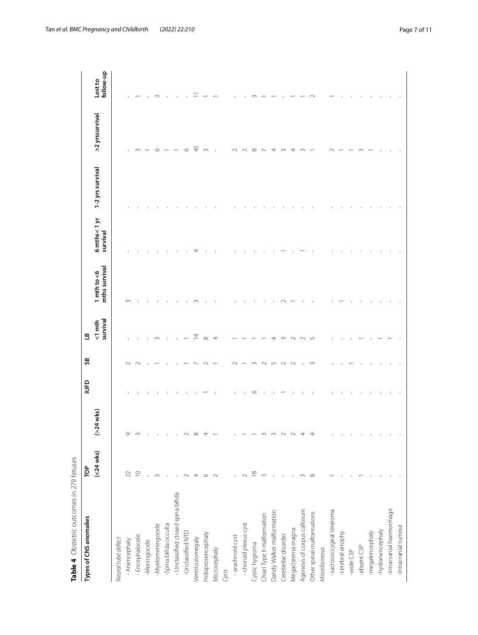| Types of CNS anomalies             | pp                 |             | <b>Oanl</b> | SS     | $\mathbf{a}$             |                                |                         |                  |                |                      |
|------------------------------------|--------------------|-------------|-------------|--------|--------------------------|--------------------------------|-------------------------|------------------|----------------|----------------------|
|                                    | $(-24$ wks)        | $(>24$ wks) |             |        | survival<br>$\leq 1$ mth | mths survival<br>1 $mth$ to <6 | 6 mths<1 yr<br>survival | 1-2 yrs survival | >2 yrssurvival | follow-up<br>Lost to |
| Neural tube defect                 |                    |             |             |        |                          |                                |                         |                  |                |                      |
| - Anencephaly                      | 22                 | Q           |             | $\sim$ |                          | $\infty$                       |                         |                  |                |                      |
| - Encephalocele                    | $\supseteq$        |             |             |        |                          |                                |                         |                  |                |                      |
| -Meningocele                       |                    |             |             |        |                          |                                |                         |                  |                |                      |
| -Myelomeningocele                  | $\sim$             |             |             |        |                          |                                |                         |                  |                |                      |
| -Spina bifida occulta              |                    |             |             |        |                          |                                |                         |                  |                |                      |
| - Unclassified closed spina bifida |                    |             |             |        |                          |                                |                         |                  |                |                      |
| -Unclassified NTD                  | $\scriptstyle\sim$ |             |             |        |                          |                                |                         |                  |                |                      |
| Ventriculomegaly                   | 4                  |             |             |        | Ξ                        | m                              |                         |                  | 45             |                      |
| Holoprosencephaly                  | $\circ$            |             |             |        | $\infty$                 |                                |                         |                  | $\infty$       |                      |
| Microcephaly                       | $\sim$             |             |             |        | 4                        |                                |                         |                  |                |                      |
| Cysts                              |                    |             |             |        |                          |                                |                         |                  |                |                      |
| - arachnoid cyst                   |                    |             |             |        |                          |                                |                         |                  |                |                      |
| - choroid plexus cyst              | $\sim$             |             |             |        |                          |                                |                         |                  |                |                      |
| Cystic hygroma                     | $\approx$          |             |             |        |                          |                                |                         |                  | $\infty$       |                      |
| Chiari Type II malformation        | $\infty$           |             |             |        |                          |                                |                         |                  |                |                      |
| Dandy Walker malformation          |                    |             |             |        |                          |                                |                         |                  |                |                      |
| Cerebellar disorder                |                    |             |             |        |                          | $\sim$                         |                         |                  |                |                      |
| Megacisterna magna                 |                    |             |             |        |                          |                                |                         |                  |                |                      |
| Agenesis of corpus callosum        | $\infty$           |             |             |        |                          |                                |                         |                  |                |                      |
| Other spinal malformations         | $\infty$           |             |             | $\sim$ | "                        |                                |                         |                  |                |                      |
| Miscellaneous                      |                    |             |             |        |                          |                                |                         |                  |                |                      |
| -sacrococcygeal teratoma           |                    |             |             |        |                          |                                |                         |                  |                |                      |
| -cerebral atrophy                  |                    |             |             |        |                          |                                |                         |                  |                |                      |
| -wide $CSP$                        |                    |             |             |        |                          |                                |                         |                  |                |                      |
| -absent CSP                        |                    |             |             |        |                          |                                |                         |                  |                |                      |
| -megalencephaly                    |                    |             |             |        |                          |                                |                         |                  |                |                      |
| -hydranencephaly                   |                    |             |             |        |                          |                                |                         |                  |                |                      |
| -intracranial haemorrhage          |                    |             |             |        |                          |                                |                         |                  |                |                      |
| -intracranial tumour               |                    |             |             |        |                          |                                |                         |                  |                |                      |

<span id="page-6-0"></span>**Table 4**

Obstetric outcomes in 279 fetuses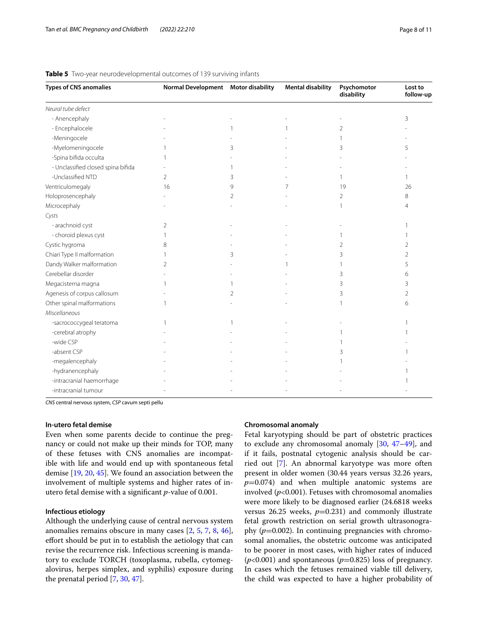| <b>Types of CNS anomalies</b>      | Normal Development Motor disability |   | <b>Mental disability</b> | Psychomotor<br>disability | Lost to<br>follow-up |
|------------------------------------|-------------------------------------|---|--------------------------|---------------------------|----------------------|
| Neural tube defect                 |                                     |   |                          |                           |                      |
| - Anencephaly                      |                                     |   |                          |                           | 3                    |
| - Encephalocele                    |                                     |   |                          | $\overline{2}$            |                      |
| -Meningocele                       |                                     |   |                          |                           |                      |
| -Myelomeningocele                  |                                     | 3 |                          | 3                         | 5                    |
| -Spina bifida occulta              |                                     |   |                          |                           |                      |
| - Unclassified closed spina bifida |                                     |   |                          |                           |                      |
| -Unclassified NTD                  | 2                                   | 3 |                          | 1                         |                      |
| Ventriculomegaly                   | 16                                  | 9 |                          | 19                        | 26                   |
| Holoprosencephaly                  |                                     | 2 |                          | 2                         | 8                    |
| Microcephaly                       |                                     |   |                          |                           | 4                    |
| Cysts                              |                                     |   |                          |                           |                      |
| - arachnoid cyst                   | 2                                   |   |                          |                           |                      |
| - choroid plexus cyst              |                                     |   |                          |                           |                      |
| Cystic hygroma                     | 8                                   |   |                          | 2                         | 2                    |
| Chiari Type II malformation        |                                     | 3 |                          | 3                         | 2                    |
| Dandy Walker malformation          | 2                                   |   |                          |                           | 5                    |
| Cerebellar disorder                |                                     |   |                          | 3                         | 6                    |
| Megacisterna magna                 |                                     |   |                          | 3                         | 3                    |
| Agenesis of corpus callosum        |                                     | 2 |                          | 3                         | 2                    |
| Other spinal malformations         |                                     |   |                          |                           | 6                    |
| Miscellaneous                      |                                     |   |                          |                           |                      |
| -sacrococcygeal teratoma           |                                     |   |                          |                           |                      |
| -cerebral atrophy                  |                                     |   |                          |                           |                      |
| -wide CSP                          |                                     |   |                          |                           |                      |
| -absent CSP                        |                                     |   |                          | 3                         |                      |
| -megalencephaly                    |                                     |   |                          |                           |                      |
| -hydranencephaly                   |                                     |   |                          |                           |                      |
| -intracranial haemorrhage          |                                     |   |                          |                           |                      |
| -intracranial tumour               |                                     |   |                          |                           |                      |

#### <span id="page-7-0"></span>**Table 5** Two-year neurodevelopmental outcomes of 139 surviving infants

*CNS* central nervous system, *CSP* cavum septi pellu

# **In‑utero fetal demise**

Even when some parents decide to continue the pregnancy or could not make up their minds for TOP, many of these fetuses with CNS anomalies are incompatible with life and would end up with spontaneous fetal demise [\[19](#page-9-8), [20,](#page-9-11) [45\]](#page-10-13). We found an association between the involvement of multiple systems and higher rates of inutero fetal demise with a signifcant *p*-value of 0.001.

# **Infectious etiology**

Although the underlying cause of central nervous system anomalies remains obscure in many cases [\[2](#page-9-23), [5](#page-9-7), [7](#page-9-2), [8](#page-9-18), [46](#page-10-14)], efort should be put in to establish the aetiology that can revise the recurrence risk. Infectious screening is mandatory to exclude TORCH (toxoplasma, rubella, cytomegalovirus, herpes simplex, and syphilis) exposure during the prenatal period [\[7](#page-9-2), [30,](#page-9-20) [47\]](#page-10-15).

# **Chromosomal anomaly**

Fetal karyotyping should be part of obstetric practices to exclude any chromosomal anomaly [\[30](#page-9-20), [47](#page-10-15)[–49](#page-10-16)], and if it fails, postnatal cytogenic analysis should be carried out [[7\]](#page-9-2). An abnormal karyotype was more often present in older women (30.44 years versus 32.26 years, *p*=0.074) and when multiple anatomic systems are involved  $(p<0.001)$ . Fetuses with chromosomal anomalies were more likely to be diagnosed earlier (24.6818 weeks versus  $26.25$  weeks,  $p=0.231$ ) and commonly illustrate fetal growth restriction on serial growth ultrasonography  $(p=0.002)$ . In continuing pregnancies with chromosomal anomalies, the obstetric outcome was anticipated to be poorer in most cases, with higher rates of induced  $(p<0.001)$  and spontaneous  $(p=0.825)$  loss of pregnancy. In cases which the fetuses remained viable till delivery, the child was expected to have a higher probability of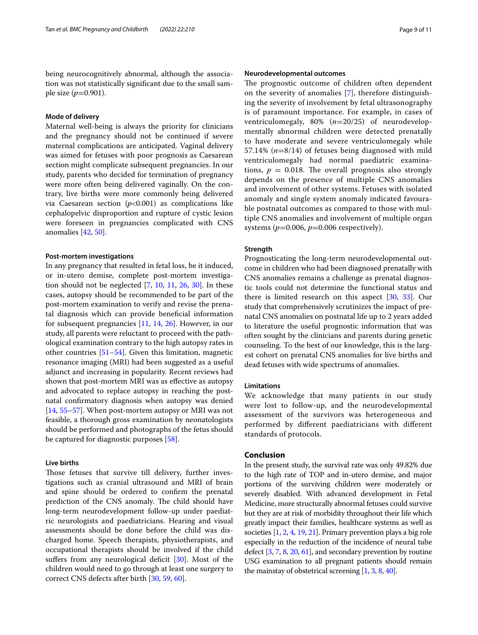being neurocognitively abnormal, although the association was not statistically signifcant due to the small sample size (*p*=0.901).

#### **Mode of delivery**

Maternal well-being is always the priority for clinicians and the pregnancy should not be continued if severe maternal complications are anticipated. Vaginal delivery was aimed for fetuses with poor prognosis as Caesarean section might complicate subsequent pregnancies. In our study, parents who decided for termination of pregnancy were more often being delivered vaginally. On the contrary, live births were more commonly being delivered via Caesarean section  $(p<0.001)$  as complications like cephalopelvic disproportion and rupture of cystic lesion were foreseen in pregnancies complicated with CNS anomalies [\[42](#page-10-10), [50\]](#page-10-17).

#### **Post‑mortem investigations**

In any pregnancy that resulted in fetal loss, be it induced, or in-utero demise, complete post-mortem investigation should not be neglected [[7,](#page-9-2) [10,](#page-9-24) [11](#page-9-10), [26](#page-9-16), [30\]](#page-9-20). In these cases, autopsy should be recommended to be part of the post-mortem examination to verify and revise the prenatal diagnosis which can provide benefcial information for subsequent pregnancies [[11,](#page-9-10) [14,](#page-9-4) [26\]](#page-9-16). However, in our study, all parents were reluctant to proceed with the pathological examination contrary to the high autopsy rates in other countries  $[51–54]$  $[51–54]$  $[51–54]$  $[51–54]$ . Given this limitation, magnetic resonance imaging (MRI) had been suggested as a useful adjunct and increasing in popularity. Recent reviews had shown that post-mortem MRI was as efective as autopsy and advocated to replace autopsy in reaching the postnatal confrmatory diagnosis when autopsy was denied [[14,](#page-9-4) [55](#page-10-20)[–57](#page-10-21)]. When post-mortem autopsy or MRI was not feasible, a thorough gross examination by neonatologists should be performed and photographs of the fetus should be captured for diagnostic purposes [\[58](#page-10-22)].

# **Live births**

Those fetuses that survive till delivery, further investigations such as cranial ultrasound and MRI of brain and spine should be ordered to confrm the prenatal prediction of the CNS anomaly. The child should have long-term neurodevelopment follow-up under paediatric neurologists and paediatricians. Hearing and visual assessments should be done before the child was discharged home. Speech therapists, physiotherapists, and occupational therapists should be involved if the child suffers from any neurological deficit [[30](#page-9-20)]. Most of the children would need to go through at least one surgery to correct CNS defects after birth [\[30](#page-9-20), [59,](#page-10-23) [60\]](#page-10-24).

#### **Neurodevelopmental outcomes**

The prognostic outcome of children often dependent on the severity of anomalies [\[7\]](#page-9-2), therefore distinguishing the severity of involvement by fetal ultrasonography is of paramount importance. For example, in cases of ventriculomegaly, 80% (*n*=20/25) of neurodevelopmentally abnormal children were detected prenatally to have moderate and severe ventriculomegaly while 57.14% (*n*=8/14) of fetuses being diagnosed with mild ventriculomegaly had normal paediatric examinations,  $p = 0.018$ . The overall prognosis also strongly depends on the presence of multiple CNS anomalies and involvement of other systems. Fetuses with isolated anomaly and single system anomaly indicated favourable postnatal outcomes as compared to those with multiple CNS anomalies and involvement of multiple organ systems  $(p=0.006, p=0.006$  respectively).

## **Strength**

Prognosticating the long-term neurodevelopmental outcome in children who had been diagnosed prenatally with CNS anomalies remains a challenge as prenatal diagnostic tools could not determine the functional status and there is limited research on this aspect [[30,](#page-9-20) [33](#page-10-3)]. Our study that comprehensively scrutinizes the impact of prenatal CNS anomalies on postnatal life up to 2 years added to literature the useful prognostic information that was often sought by the clinicians and parents during genetic counseling. To the best of our knowledge, this is the largest cohort on prenatal CNS anomalies for live births and dead fetuses with wide spectrums of anomalies.

# **Limitations**

We acknowledge that many patients in our study were lost to follow-up, and the neurodevelopmental assessment of the survivors was heterogeneous and performed by diferent paediatricians with diferent standards of protocols.

# **Conclusion**

In the present study, the survival rate was only 49.82% due to the high rate of TOP and in-utero demise, and major portions of the surviving children were moderately or severely disabled. With advanced development in Fetal Medicine, more structurally abnormal fetuses could survive but they are at risk of morbidity throughout their life which greatly impact their families, healthcare systems as well as societies [\[1](#page-9-0), [2](#page-9-23), [4](#page-9-6), [19](#page-9-8), [21\]](#page-9-12). Primary prevention plays a big role especially in the reduction of the incidence of neural tube defect [\[3,](#page-9-9) [7](#page-9-2), [8](#page-9-18), [20](#page-9-11), [61](#page-10-25)], and secondary prevention by routine USG examination to all pregnant patients should remain the mainstay of obstetrical screening  $[1, 3, 8, 40]$  $[1, 3, 8, 40]$  $[1, 3, 8, 40]$  $[1, 3, 8, 40]$  $[1, 3, 8, 40]$  $[1, 3, 8, 40]$  $[1, 3, 8, 40]$  $[1, 3, 8, 40]$  $[1, 3, 8, 40]$ .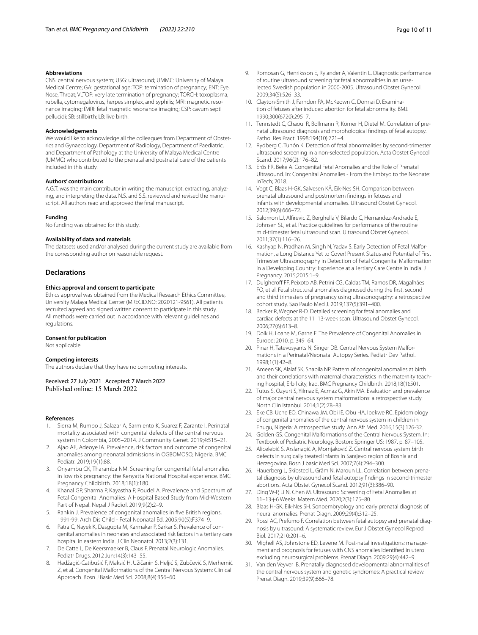#### **Abbreviations**

CNS: central nervous system; USG: ultrasound; UMMC: University of Malaya Medical Centre; GA: gestational age; TOP: termination of pregnancy; ENT: Eye, Nose, Throat; VLTOP: very late termination of pregnancy; TORCH: toxoplasma, rubella, cytomegalovirus, herpes simplex, and syphilis; MRI: magnetic resonance imaging; fMRI: fetal magnetic resonance imaging; CSP: cavum septi pellucidi; SB: stillbirth; LB: live birth.

#### **Acknowledgements**

We would like to acknowledge all the colleagues from Department of Obstetrics and Gynaecology, Department of Radiology, Department of Paediatric, and Department of Pathology at the University of Malaya Medical Centre (UMMC) who contributed to the prenatal and postnatal care of the patients included in this study.

#### **Authors' contributions**

A.G.T. was the main contributor in writing the manuscript, extracting, analyzing, and interpreting the data. N.S. and S.S. reviewed and revised the manuscript. All authors read and approved the fnal manuscript.

#### **Funding**

No funding was obtained for this study.

#### **Availability of data and materials**

The datasets used and/or analysed during the current study are available from the corresponding author on reasonable request.

#### **Declarations**

#### **Ethics approval and consent to participate**

Ethics approval was obtained from the Medical Research Ethics Committee, University Malaya Medical Center (MRECID.NO: 2020121-9561). All patients recruited agreed and signed written consent to participate in this study. All methods were carried out in accordance with relevant guidelines and regulations.

#### **Consent for publication**

Not applicable.

#### **Competing interests**

The authors declare that they have no competing interests.

Received: 27 July 2021 Accepted: 7 March 2022<br>Published online: 15 March 2022

#### **References**

- <span id="page-9-0"></span>1. Sierra M, Rumbo J, Salazar A, Sarmiento K, Suarez F, Zarante I. Perinatal mortality associated with congenital defects of the central nervous system in Colombia, 2005–2014. J Community Genet. 2019;4:515–21.
- <span id="page-9-23"></span>2. Ajao AE, Adeoye IA. Prevalence, risk factors and outcome of congenital anomalies among neonatal admissions in OGBOMOSO, Nigeria. BMC Pediatr. 2019;19(1):88.
- <span id="page-9-9"></span>3. Onyambu CK, Tharamba NM. Screening for congenital fetal anomalies in low risk pregnancy: the Kenyatta National Hospital experience. BMC Pregnancy Childbirth. 2018;18(1):180.
- <span id="page-9-6"></span>4. Khanal GP, Sharma P, Kayastha P, Poudel A. Prevalence and Spectrum of Fetal Congenital Anomalies: A Hospital Based Study from Mid-Western Part of Nepal. Nepal J Radiol. 2019;9(2):2–9.
- <span id="page-9-7"></span>5. Rankin J. Prevalence of congenital anomalies in fve British regions, 1991-99. Arch Dis Child - Fetal Neonatal Ed. 2005;90(5):F374–9.
- <span id="page-9-1"></span>6. Patra C, Nayek K, Dasgupta M, Karmakar P, Sarkar S. Prevalence of congenital anomalies in neonates and associated risk factors in a tertiary care hospital in eastern India. J Clin Neonatol. 2013;2(3):131.
- <span id="page-9-2"></span>7. De Catte L, De Keersmaeker B, Claus F. Prenatal Neurologic Anomalies. Pediatr Drugs. 2012 Jun;14(3):143–55.
- <span id="page-9-18"></span>8. Hadžagić-Ćatibušić F, Maksić H, Užičanin S, Heljić S, Zubčević S, Merhemić Z, et al. Congenital Malformations of the Central Nervous System: Clinical Approach. Bosn J Basic Med Sci. 2008;8(4):356–60.
- <span id="page-9-22"></span>9. Romosan G, Henriksson E, Rylander A, Valentin L. Diagnostic performance of routine ultrasound screening for fetal abnormalities in an unselected Swedish population in 2000-2005. Ultrasound Obstet Gynecol. 2009;34(5):526–33.
- <span id="page-9-24"></span>10. Clayton-Smith J, Farndon PA, McKeown C, Donnai D. Examination of fetuses after induced abortion for fetal abnormality. BMJ. 1990;300(6720):295–7.
- <span id="page-9-10"></span>11. Tennstedt C, Chaoui R, Bollmann R, Körner H, Dietel M. Correlation of prenatal ultrasound diagnosis and morphological fndings of fetal autopsy. Pathol Res Pract. 1998;194(10):721–4.
- 12. Rydberg C, Tunón K. Detection of fetal abnormalities by second-trimester ultrasound screening in a non-selected population. Acta Obstet Gynecol Scand. 2017;96(2):176–82.
- <span id="page-9-3"></span>13. Erős FR, Beke A. Congenital Fetal Anomalies and the Role of Prenatal Ultrasound. In: Congenital Anomalies - From the Embryo to the Neonate: InTech; 2018.
- <span id="page-9-4"></span>14. Vogt C, Blaas H-GK, Salvesen KÅ, Eik-Nes SH. Comparison between prenatal ultrasound and postmortem fndings in fetuses and infants with developmental anomalies. Ultrasound Obstet Gynecol. 2012;39(6):666–72.
- 15. Salomon LJ, Alfrevic Z, Berghella V, Bilardo C, Hernandez-Andrade E, Johnsen SL, et al. Practice guidelines for performance of the routine mid-trimester fetal ultrasound scan. Ultrasound Obstet Gynecol. 2011;37(1):116–26.
- <span id="page-9-15"></span>16. Kashyap N, Pradhan M, Singh N, Yadav S. Early Detection of Fetal Malformation, a Long Distance Yet to Cover! Present Status and Potential of First Trimester Ultrasonography in Detection of Fetal Congenital Malformation in a Developing Country: Experience at a Tertiary Care Centre in India. J Pregnancy. 2015;2015:1–9.
- <span id="page-9-5"></span>17. Dulgheroff FF, Peixoto AB, Petrini CG, Caldas TM, Ramos DR, Magalhães FO, et al. Fetal structural anomalies diagnosed during the frst, second and third trimesters of pregnancy using ultrasonography: a retrospective cohort study. Sao Paulo Med J. 2019;137(5):391–400.
- 18. Becker R, Wegner R-D. Detailed screening for fetal anomalies and cardiac defects at the 11–13-week scan. Ultrasound Obstet Gynecol. 2006;27(6):613–8.
- <span id="page-9-8"></span>19. Dolk H, Loane M, Garne E. The Prevalence of Congenital Anomalies in Europe; 2010. p. 349–64.
- <span id="page-9-11"></span>20. Pinar H, Tatevosyants N, Singer DB. Central Nervous System Malformations in a Perinatal/Neonatal Autopsy Series. Pediatr Dev Pathol. 1998;1(1):42–8.
- <span id="page-9-12"></span>21. Ameen SK, Alalaf SK, Shabila NP. Pattern of congenital anomalies at birth and their correlations with maternal characteristics in the maternity teaching hospital, Erbil city, Iraq. BMC Pregnancy Childbirth. 2018;18(1):501.
- <span id="page-9-13"></span>22. Tutus S, Ozyurt S, Yilmaz E, Acmaz G, Akin MA. Evaluation and prevalence of major central nervous system malformations: a retrospective study. North Clin Istanbul. 2014;1(2):78–83.
- 23. Eke CB, Uche EO, Chinawa JM, Obi IE, Obu HA, Ibekwe RC. Epidemiology of congenital anomalies of the central nervous system in children in Enugu, Nigeria: A retrospective study. Ann Afr Med. 2016;15(3):126-32.
- 24. Golden GS. Congenital Malformations of the Central Nervous System. In: Textbook of Pediatric Neurology. Boston: Springer US; 1987. p. 87–105.
- <span id="page-9-14"></span>25. Alicelebić S, Arslanagić A, Mornjaković Z. Central nervous system birth defects in surgically treated infants in Sarajevo region of Bosnia and Herzegovina. Bosn J basic Med Sci. 2007;7(4):294–300.
- <span id="page-9-16"></span>26. Hauerberg L, Skibsted L, Grãm N, Maroun LL. Correlation between prenatal diagnosis by ultrasound and fetal autopsy fndings in second-trimester abortions. Acta Obstet Gynecol Scand. 2012;91(3):386–90.
- <span id="page-9-17"></span>27. Ding W-P, Li N, Chen M. Ultrasound Screening of Fetal Anomalies at 11–13+6 Weeks. Matern Med. 2020;2(3):175–80.
- 28. Blaas H-GK, Eik-Nes SH. Sonoembryology and early prenatal diagnosis of neural anomalies. Prenat Diagn. 2009;29(4):312–25.
- <span id="page-9-19"></span>29. Rossi AC, Prefumo F. Correlation between fetal autopsy and prenatal diagnosis by ultrasound: A systematic review. Eur J Obstet Gynecol Reprod Biol. 2017;210:201–6.
- <span id="page-9-20"></span>30. Mighell AS, Johnstone ED, Levene M. Post-natal investigations: management and prognosis for fetuses with CNS anomalies identifed in utero excluding neurosurgical problems. Prenat Diagn. 2009;29(4):442–9.
- <span id="page-9-21"></span>31. Van den Veyver IB. Prenatally diagnosed developmental abnormalities of the central nervous system and genetic syndromes: A practical review. Prenat Diagn. 2019;39(9):666–78.